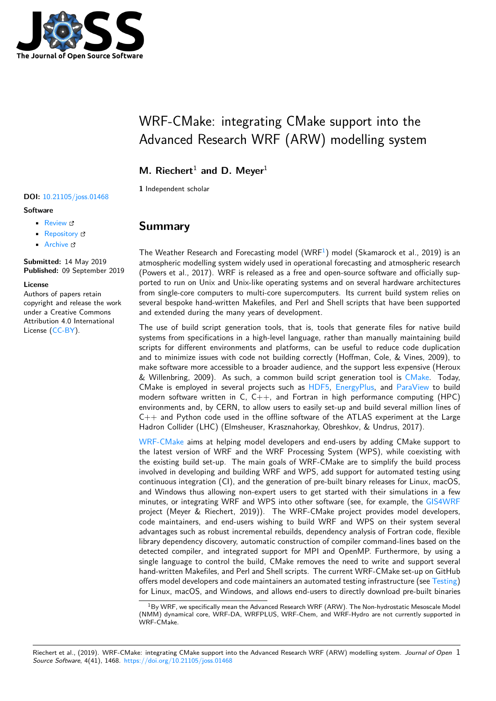

# WRF-CMake: integrating CMake support into the Advanced Research WRF (ARW) modelling system

**M. Riechert<sup>1</sup> and D. Meyer<sup>1</sup>** 

**1** Independent scholar

#### **DOI:** 10.21105/joss.01468

#### **Software**

- Review &
- [Repository](https://doi.org/10.21105/joss.01468)  $\circ$
- Archive

**Subm[itted:](https://github.com/openjournals/joss-reviews/issues/1468)** 14 May 2019 **Published:** [09 Se](https://github.com/WRF-CMake/WRF)ptember 2019

#### **Licen[se](https://doi.org/10.5281/zenodo.3403343)**

Authors of papers retain copyright and release the work under a Creative Commons Attribution 4.0 International License (CC-BY).

### **Summary**

The Weather Research and Forecasting model  $(WRF<sup>1</sup>)$  model (Skamarock et al., 2019) is an atmospheric modelling system widely used in operational forecasting and atmospheric research (Powers et al., 2017). WRF is released as a free and open-source software and officially supported to run on Unix and Unix-like operating systems and on several hardware architectures from single-core computers to multi-core supercomp[u](#page-0-0)ters. Its current build system relies on several bespoke hand-written Makefiles, and Perl and Shell scripts that have been supported and extended during the many years of development.

The use of build script generation tools, that is, tools that generate files for native build systems from specifications in a high-level language, rather than manually maintaining build scripts for different environments and platforms, can be useful to reduce code duplication and to minimize issues with code not building correctly (Hoffman, Cole, & Vines, 2009), to make software more accessible to a broader audience, and the support less expensive (Heroux  $\&$  Willenbring, 2009). As such, a common build script generation tool is CMake. Today, CMake is employed in several projects such as HDF5, EnergyPlus, and ParaView to build modern software written in  $C, C++,$  and Fortran in high performance computing (HPC) environments and, by CERN, to allow users to easily set-up and build several million lines of  $C_{++}$  and Python code used in the offline software of the ATLAS experim[ent at t](https://cmake.org/)he Large Hadron Collider (LHC) (Elmsheuser, Krasznahor[kay, Ob](https://www.hdfgroup.org/)[reshkov, & U](https://energyplus.net/)ndru[s, 2017\).](https://www.paraview.org/)

WRF-CMake aims at helping model developers and end-users by adding CMake support to the latest version of WRF and the WRF Processing System (WPS), while coexisting with the existing build set-up. The main goals of WRF-CMake are to simplify the build process involved in developing and building WRF and WPS, add support for automated testing using [continuous in](https://github.com/WRF-CMake/WRF)tegration (CI), and the generation of pre-built binary releases for Linux, macOS, and Windows thus allowing non-expert users to get started with their simulations in a few minutes, or integrating WRF and WPS into other software (see, for example, the GIS4WRF project (Meyer & Riechert, 2019)). The WRF-CMake project provides model developers, code maintainers, and end-users wishing to build WRF and WPS on their system several advantages such as robust incremental rebuilds, dependency analysis of Fortran code, flexible library dependency discovery, automatic construction of compiler command-lines ba[sed on the](https://github.com/GIS4WRF/gis4wrf) detected compiler, and integrated support for MPI and OpenMP. Furthermore, by using a single language to control the build, CMake removes the need to write and support several hand-written Makefiles, and Perl and Shell scripts. The current WRF-CMake set-up on GitHub offers model developers and code maintainers an automated testing infrastructure (see Testing) for Linux, macOS, and Windows, and allows end-users to directly download pre-built binaries

<span id="page-0-0"></span> $1By$  WRF, we specifically mean the Advanced Research WRF (ARW). The Non-hydrostatic Mesoscale Model (NMM) dynamical core, WRF-DA, WRFPLUS, WRF-Chem, and WRF-Hydro are not currently su[pported in](#page-1-0) WRF-CMake.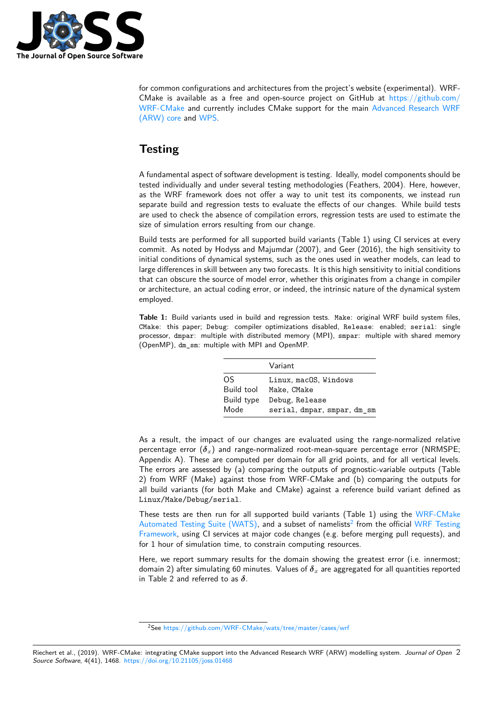

for common configurations and architectures from the project's website (experimental). WRF-CMake is available as a free and open-source project on GitHub at https://github.com/ WRF-CMake and currently includes CMake support for the main Advanced Research WRF (ARW) core and WPS.

### **[Testing](https://github.com/WRF-CMake)**

<span id="page-1-0"></span>A fundamental aspect of software development is testing. Ideally, model components should be tested individually and under several testing methodologies (Feathers, 2004). Here, however, as the WRF framework does not offer a way to unit test its components, we instead run separate build and regression tests to evaluate the effects of our changes. While build tests are used to check the absence of compilation errors, regression tests are used to estimate the size of simulation errors resulting from our change.

Build tests are performed for all supported build variants (Table 1) using CI services at every commit. As noted by Hodyss and Majumdar (2007), and Geer (2016), the high sensitivity to initial conditions of dynamical systems, such as the ones used in weather models, can lead to large differences in skill between any two forecasts. It is this high sensitivity to initial conditions that can obscure the source of model error, whether this originates from a change in compiler or architecture, an actual coding error, or indeed, the intrinsic nature of the dynamical system employed.

**Table 1:** Build variants used in build and regression tests. Make: original WRF build system files, CMake: this paper; Debug: compiler optimizations disabled, Release: enabled; serial: single processor, dmpar: multiple with distributed memory (MPI), smpar: multiple with shared memory (OpenMP), dm\_sm: multiple with MPI and OpenMP.

|            | Variant                     |
|------------|-----------------------------|
| OS.        | Linux, macOS, Windows       |
| Build tool | Make, CMake                 |
| Build type | Debug, Release              |
| Mode       | serial, dmpar, smpar, dm_sm |

As a result, the impact of our changes are evaluated using the range-normalized relative percentage error (*δx*) and range-normalized root-mean-square percentage error (NRMSPE; Appendix A). These are computed per domain for all grid points, and for all vertical levels. The errors are assessed by (a) comparing the outputs of prognostic-variable outputs (Table 2) from WRF (Make) against those from WRF-CMake and (b) comparing the outputs for all build variants (for both Make and CMake) against a reference build variant defined as Linux/Make/Debug/serial.

These tests are then run for all supported build variants (Table 1) using the WRF-CMake Automated Testing Suite (WATS), and a subset of namelists<sup>2</sup> from the official WRF Testing Framework, using CI services at major code changes (e.g. before merging pull requests), and for 1 hour of simulation time, to constrain computing resources.

Here, we report summary results for the domain showing t[he](#page-1-1) greatest error (i.[e. innermost;](https://github.com/WRF-CMake/wats) [domain 2\) after simulating 60 minu](https://github.com/WRF-CMake/wats)tes. Values of *δ<sup>x</sup>* are aggregated for all quan[tities reported](https://github.com/wrf-model/WTF) [in Table 2](https://github.com/wrf-model/WTF) and referred to as *δ*.

<span id="page-1-1"></span><sup>2</sup>See https://github.com/WRF-CMake/wats/tree/master/cases/wrf

Riechert et al., (2019). WRF-CMake: integrating CMake support into the Advanced Research WRF (ARW) modelling system. *Journal of Open* 2*Source Software*, 4(41), 1468. https://doi.org/10.21105/joss.01468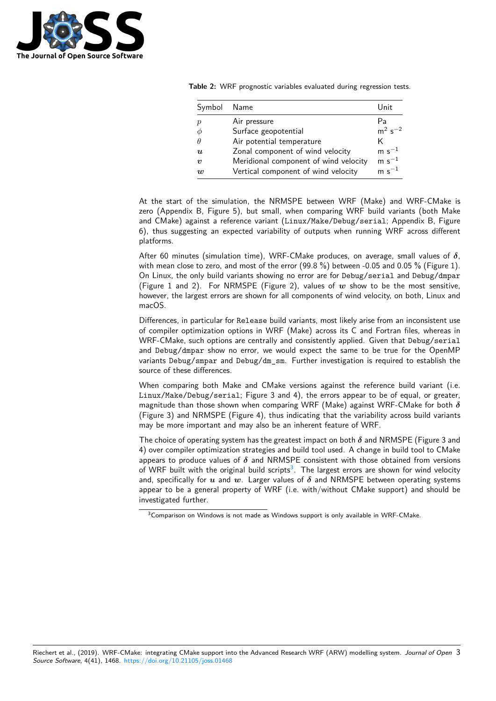

**Table 2:** WRF prognostic variables evaluated during regression tests.

| Symbol           | Name                                  | Unit         |
|------------------|---------------------------------------|--------------|
| $\boldsymbol{p}$ | Air pressure                          | Pа           |
| Ф                | Surface geopotential                  | $m^2 s^{-2}$ |
| θ                | Air potential temperature             | Κ            |
| $\boldsymbol{u}$ | Zonal component of wind velocity      | $m s^{-1}$   |
| $\boldsymbol{v}$ | Meridional component of wind velocity | $m s^{-1}$   |
| $\boldsymbol{w}$ | Vertical component of wind velocity   | $m s^{-1}$   |

At the start of the simulation, the NRMSPE between WRF (Make) and WRF-CMake is zero (Appendix B, Figure 5), but small, when comparing WRF build variants (both Make and CMake) against a reference variant (Linux/Make/Debug/serial; Appendix B, Figure 6), thus suggesting an expected variability of outputs when running WRF across different platforms.

After 60 minutes (simulation time), WRF-CMake produces, on average, small values of *δ*, with mean close to zero, and most of the error  $(99.8\%)$  between -0.05 and 0.05 % (Figure 1). On Linux, the only build variants showing no error are for Debug/serial and Debug/dmpar (Figure 1 and 2). For NRMSPE (Figure 2), values of  $w$  show to be the most sensitive, however, the largest errors are shown for all components of wind velocity, on both, Linux and macOS.

Differences, in particular for Release build variants, most likely arise from an inconsistent use of compiler optimization options in WRF (Make) across its C and Fortran files, whereas in WRF-CMake, such options are centrally and consistently applied. Given that Debug/serial and Debug/dmpar show no error, we would expect the same to be true for the OpenMP variants Debug/smpar and Debug/dm\_sm. Further investigation is required to establish the source of these differences.

When comparing both Make and CMake versions against the reference build variant (i.e. Linux/Make/Debug/serial; Figure 3 and 4), the errors appear to be of equal, or greater, magnitude than those shown when comparing WRF (Make) against WRF-CMake for both *δ* (Figure 3) and NRMSPE (Figure 4), thus indicating that the variability across build variants may be more important and may also be an inherent feature of WRF.

The choice of operating system has the greatest impact on both  $\delta$  and NRMSPE (Figure 3 and 4) over compiler optimization strategies and build tool used. A change in build tool to CMake appears to produce values of  $\delta$  and NRMSPE consistent with those obtained from versions of WRF built with the original build scripts<sup>3</sup>. The largest errors are shown for wind velocity and, specifically for *u* and *w*. Larger values of *δ* and NRMSPE between operating systems appear to be a general property of WRF (i.e. with/without CMake support) and should be investigated further.

<span id="page-2-0"></span><sup>&</sup>lt;sup>3</sup> Comparison on Wind[ow](#page-2-0)s is not made as Windows support is only available in WRF-CMake.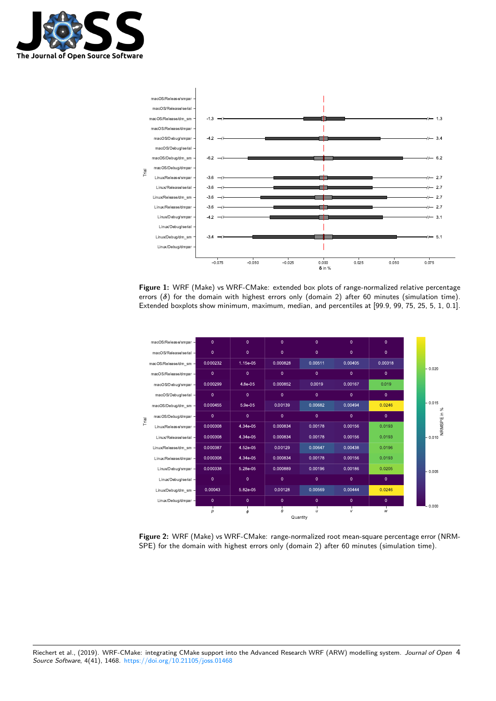



**Figure 1:** WRF (Make) vs WRF-CMake: extended box plots of range-normalized relative percentage errors  $(\delta)$  for the domain with highest errors only (domain 2) after 60 minutes (simulation time). Extended boxplots show minimum, maximum, median, and percentiles at [99.9, 99, 75, 25, 5, 1, 0.1].



**Figure 2:** WRF (Make) vs WRF-CMake: range-normalized root mean-square percentage error (NRM-SPE) for the domain with highest errors only (domain 2) after 60 minutes (simulation time).

Riechert et al., (2019). WRF-CMake: integrating CMake support into the Advanced Research WRF (ARW) modelling system. *Journal of Open* 4*Source Software*, 4(41), 1468. https://doi.org/10.21105/joss.01468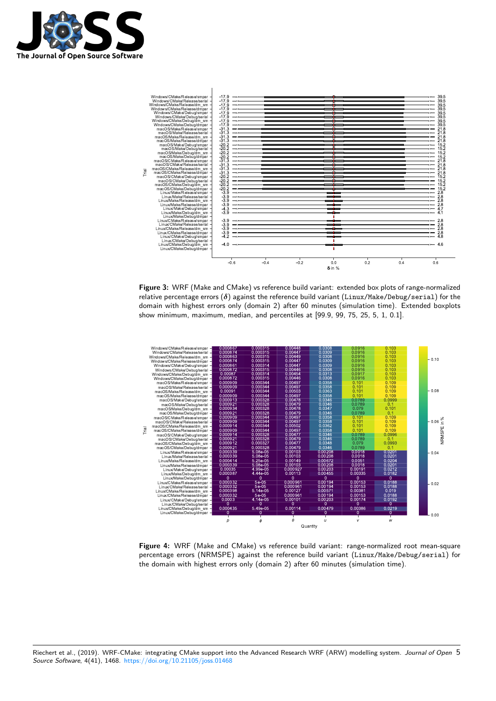



**Figure 3:** WRF (Make and CMake) vs reference build variant: extended box plots of range-normalized relative percentage errors (*δ*) against the reference build variant (Linux/Make/Debug/serial) for the domain with highest errors only (domain 2) after 60 minutes (simulation time). Extended boxplots show minimum, maximum, median, and percentiles at [99.9, 99, 75, 25, 5, 1, 0.1].



**Figure 4:** WRF (Make and CMake) vs reference build variant: range-normalized root mean-square percentage errors (NRMSPE) against the reference build variant (Linux/Make/Debug/serial) for the domain with highest errors only (domain 2) after 60 minutes (simulation time).

Riechert et al., (2019). WRF-CMake: integrating CMake support into the Advanced Research WRF (ARW) modelling system. *Journal of Open* 5*Source Software*, 4(41), 1468. https://doi.org/10.21105/joss.01468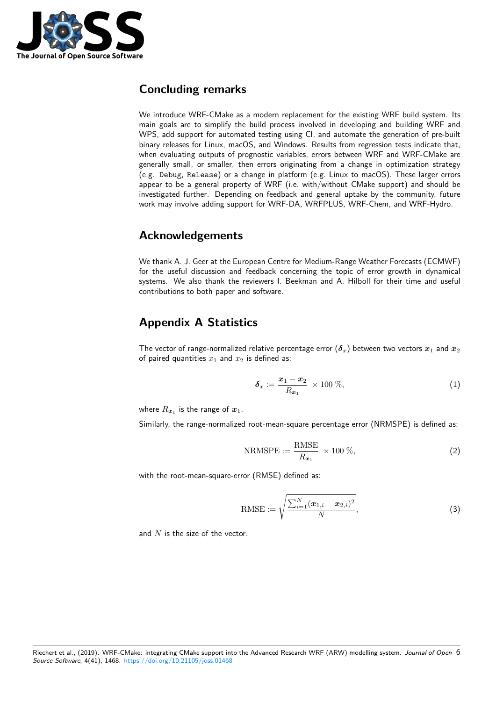

### **Concluding remarks**

We introduce WRF-CMake as a modern replacement for the existing WRF build system. Its main goals are to simplify the build process involved in developing and building WRF and WPS, add support for automated testing using CI, and automate the generation of pre-built binary releases for Linux, macOS, and Windows. Results from regression tests indicate that, when evaluating outputs of prognostic variables, errors between WRF and WRF-CMake are generally small, or smaller, then errors originating from a change in optimization strategy (e.g. Debug, Release) or a change in platform (e.g. Linux to macOS). These larger errors appear to be a general property of WRF (i.e. with/without CMake support) and should be investigated further. Depending on feedback and general uptake by the community, future work may involve adding support for WRF-DA, WRFPLUS, WRF-Chem, and WRF-Hydro.

#### **Acknowledgements**

We thank A. J. Geer at the European Centre for Medium-Range Weather Forecasts (ECMWF) for the useful discussion and feedback concerning the topic of error growth in dynamical systems. We also thank the reviewers I. Beekman and A. Hilboll for their time and useful contributions to both paper and software.

### **Appendix A Statistics**

The vector of range-normalized relative percentage error ( $\delta_x$ ) between two vectors  $x_1$  and  $x_2$ of paired quantities  $x_1$  and  $x_2$  is defined as:

$$
\delta_x := \frac{\boldsymbol{x}_1 - \boldsymbol{x}_2}{R_{\boldsymbol{x}_1}} \times 100 \ \%, \tag{1}
$$

where  $R_{\bm{x}_1}$  is the range of  $\bm{x}_1.$ 

Similarly, the range-normalized root-mean-square percentage error (NRMSPE) is defined as:

$$
NRMSPE := \frac{RMSE}{R_{\boldsymbol{x}_1}} \times 100 \%, \qquad (2)
$$

with the root-mean-square-error (RMSE) defined as:

RMSE := 
$$
\sqrt{\frac{\sum_{i=1}^{N} (\boldsymbol{x}_{1,i} - \boldsymbol{x}_{2,i})^2}{N}}
$$
, (3)

and *N* is the size of the vector.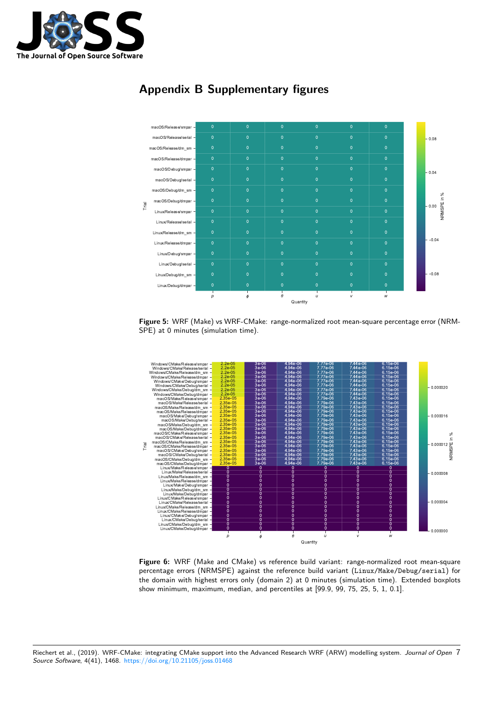

## **Appendix B Supplementary figures**



**Figure 5:** WRF (Make) vs WRF-CMake: range-normalized root mean-square percentage error (NRM-SPE) at 0 minutes (simulation time).



**Figure 6:** WRF (Make and CMake) vs reference build variant: range-normalized root mean-square percentage errors (NRMSPE) against the reference build variant (Linux/Make/Debug/serial) for the domain with highest errors only (domain 2) at 0 minutes (simulation time). Extended boxplots show minimum, maximum, median, and percentiles at [99.9, 99, 75, 25, 5, 1, 0.1].

Riechert et al., (2019). WRF-CMake: integrating CMake support into the Advanced Research WRF (ARW) modelling system. *Journal of Open* 7*Source Software*, 4(41), 1468. https://doi.org/10.21105/joss.01468